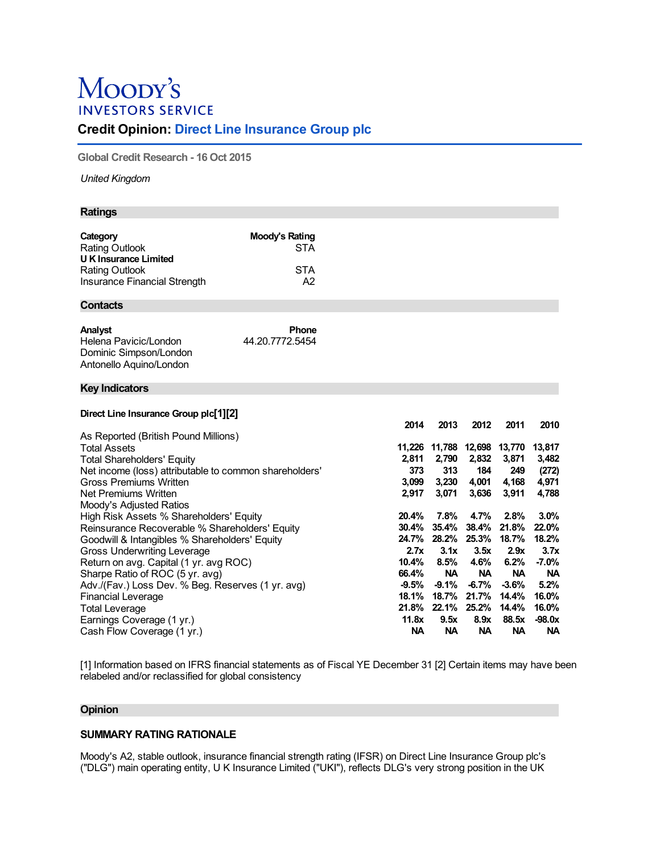# Moody's **INVESTORS SERVICE**

## **Credit Opinion: Direct Line Insurance Group plc**

**Global Credit Research - 16Oct 2015**

*United Kingdom*

### **Ratings**

| Category                     | Moody's Rating |
|------------------------------|----------------|
| <b>Rating Outlook</b>        | <b>STA</b>     |
| <b>UK Insurance Limited</b>  |                |
| <b>Rating Outlook</b>        | STA            |
| Insurance Financial Strength | A2             |

## **Contacts**

| Analyst                 | <b>Phone</b>    |
|-------------------------|-----------------|
| Helena Pavicic/London   | 44.20.7772.5454 |
| Dominic Simpson/London  |                 |
| Antonello Aquino/London |                 |

#### **Key Indicators**

## **Direct Line Insurance Group plc[1][2]**

|                                                        | 2014     | 2013      | 2012      | 2011      | 2010      |
|--------------------------------------------------------|----------|-----------|-----------|-----------|-----------|
| As Reported (British Pound Millions)                   |          |           |           |           |           |
| Total Assets                                           | 11.226   | 11,788    | 12,698    | 13,770    | 13,817    |
| <b>Total Shareholders' Equity</b>                      | 2.811    | 2,790     | 2,832     | 3,871     | 3,482     |
| Net income (loss) attributable to common shareholders' | 373      | 313       | 184       | 249       | (272)     |
| Gross Premiums Written                                 | 3,099    | 3,230     | 4,001     | 4,168     | 4,971     |
| Net Premiums Written                                   | 2,917    | 3,071     | 3,636     | 3,911     | 4,788     |
| Moody's Adjusted Ratios                                |          |           |           |           |           |
| High Risk Assets % Shareholders' Equity                | $20.4\%$ | 7.8%      | 4.7%      | 2.8%      | 3.0%      |
| Reinsurance Recoverable % Shareholders' Equity         | 30.4%    | 35.4%     | 38.4%     | 21.8%     | 22.0%     |
| Goodwill & Intangibles % Shareholders' Equity          | 24.7%    | 28.2%     | 25.3%     | 18.7%     | 18.2%     |
| Gross Underwriting Leverage                            | 2.7x     | 3.1x      | 3.5x      | 2.9x      | 3.7x      |
| Return on avg. Capital (1 yr. avg ROC)                 | $10.4\%$ | 8.5%      | 4.6%      | 6.2%      | $-7.0\%$  |
| Sharpe Ratio of ROC (5 yr. avg)                        | 66.4%    | <b>NA</b> | <b>NA</b> | <b>NA</b> | <b>NA</b> |
| Adv./(Fav.) Loss Dev. % Beg. Reserves (1 yr. avg)      | $-9.5%$  | $-9.1\%$  | $-6.7%$   | $-3.6%$   | 5.2%      |
| <b>Financial Leverage</b>                              | 18.1%    | 18.7%     | 21.7%     | 14.4%     | 16.0%     |
| <b>Total Leverage</b>                                  | 21.8%    | 22.1%     | 25.2%     | 14.4%     | 16.0%     |
| Earnings Coverage (1 yr.)                              | 11.8x    | 9.5x      | 8.9x      | 88.5x     | $-98.0x$  |
| Cash Flow Coverage (1 yr.)                             | NA       | <b>NA</b> | <b>NA</b> | <b>NA</b> | <b>NA</b> |

[1] Information based on IFRS financial statements as of Fiscal YE December 31 [2] Certain items may have been relabeled and/or reclassified for global consistency

## **Opinion**

## **SUMMARY RATING RATIONALE**

Moody's A2, stable outlook, insurance financial strength rating (IFSR) on Direct Line Insurance Group plc's ("DLG") main operating entity, U K Insurance Limited ("UKI"), reflects DLG's very strong position in the UK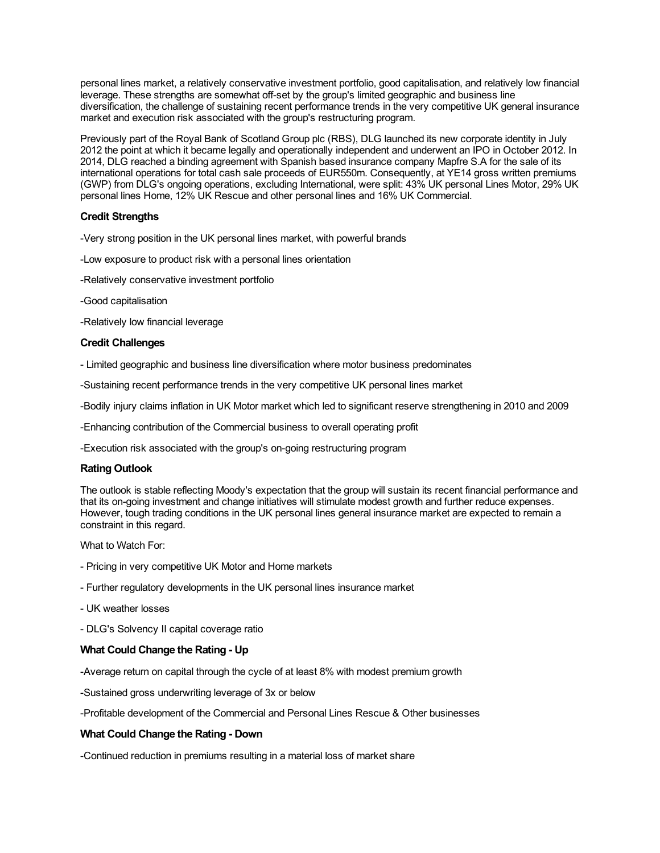personal lines market, a relatively conservative investment portfolio, good capitalisation, and relatively low financial leverage. These strengths are somewhat off-set by the group's limited geographic and business line diversification, the challenge of sustaining recent performance trends in the very competitive UK general insurance market and execution risk associated with the group's restructuring program.

Previously part of the Royal Bank of Scotland Group plc (RBS), DLG launched its new corporate identity in July 2012 the point at which it became legally and operationally independent and underwent an IPO in October 2012. In 2014, DLG reached a binding agreement with Spanish based insurance company Mapfre S.A for the sale of its international operations for total cash sale proceeds of EUR550m. Consequently, at YE14 gross written premiums (GWP) from DLG's ongoing operations, excluding International, were split: 43% UK personal Lines Motor, 29% UK personal lines Home, 12% UK Rescue and other personal lines and 16% UK Commercial.

## **Credit Strengths**

-Very strong position in the UK personal lines market, with powerful brands

- -Low exposure to product risk with a personal lines orientation
- -Relatively conservative investment portfolio
- -Good capitalisation
- -Relatively low financial leverage

#### **Credit Challenges**

- Limited geographic and business line diversification where motor business predominates
- -Sustaining recent performance trends in the very competitive UK personal lines market
- -Bodily injury claims inflation in UK Motor market which led to significant reserve strengthening in 2010 and 2009
- -Enhancing contribution of the Commercial business to overall operating profit

-Execution risk associated with the group's on-going restructuring program

#### **Rating Outlook**

The outlook is stable reflecting Moody's expectation that the group will sustain its recent financial performance and that its on-going investment and change initiatives will stimulate modest growth and further reduce expenses. However, tough trading conditions in the UK personal lines general insurance market are expected to remain a constraint in this regard.

What to Watch For:

- Pricing in very competitive UK Motor and Home markets
- Further regulatory developments in the UK personal lines insurance market
- UK weather losses
- DLG's Solvency II capital coverage ratio

#### **What Could Change the Rating - Up**

-Average return on capital through the cycle of at least 8% with modest premium growth

-Sustained gross underwriting leverage of 3x or below

-Profitable development of the Commercial and Personal Lines Rescue & Other businesses

## **What Could Change the Rating - Down**

-Continued reduction in premiums resulting in a material loss of market share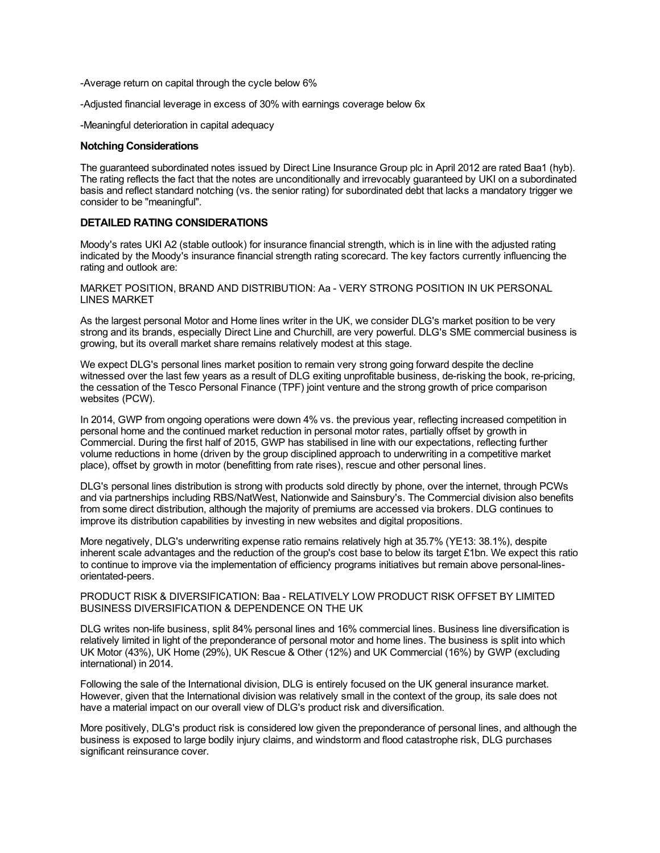-Average return on capital through the cycle below 6%

-Adjusted financial leverage in excess of 30% with earnings coverage below 6x

-Meaningful deterioration in capital adequacy

#### **Notching Considerations**

The guaranteed subordinated notes issued by Direct Line Insurance Group plc in April 2012 are rated Baa1 (hyb). The rating reflects the fact that the notes are unconditionally and irrevocably guaranteed by UKI on a subordinated basis and reflect standard notching (vs. the senior rating) for subordinated debt that lacks a mandatory trigger we consider to be "meaningful".

## **DETAILED RATING CONSIDERATIONS**

Moody's rates UKI A2 (stable outlook) for insurance financial strength, which is in line with the adjusted rating indicated by the Moody's insurance financial strength rating scorecard. The key factors currently influencing the rating and outlook are:

#### MARKET POSITION, BRAND AND DISTRIBUTION: Aa - VERY STRONG POSITION IN UK PERSONAL LINES MARKET

As the largest personal Motor and Home lines writer in the UK, we consider DLG's market position to be very strong and its brands, especially Direct Line and Churchill, are very powerful. DLG's SME commercial business is growing, but its overall market share remains relatively modest at this stage.

We expect DLG's personal lines market position to remain very strong going forward despite the decline witnessed over the last few years as a result of DLG exiting unprofitable business, de-risking the book, re-pricing, the cessation of the Tesco Personal Finance (TPF) joint venture and the strong growth of price comparison websites (PCW).

In 2014, GWP from ongoing operations were down 4% vs. the previous year, reflecting increased competition in personal home and the continued market reduction in personal motor rates, partially offset by growth in Commercial. During the first half of 2015, GWP has stabilised in line with our expectations, reflecting further volume reductions in home (driven by the group disciplined approach to underwriting in a competitive market place), offset by growth in motor (benefitting from rate rises), rescue and other personal lines.

DLG's personal lines distribution is strong with products sold directly by phone, over the internet, through PCWs and via partnerships including RBS/NatWest, Nationwide and Sainsbury's. The Commercial division also benefits from some direct distribution, although the majority of premiums are accessed via brokers. DLG continues to improve its distribution capabilities by investing in new websites and digital propositions.

More negatively, DLG's underwriting expense ratio remains relatively high at 35.7% (YE13: 38.1%), despite inherent scale advantages and the reduction of the group's cost base to below its target £1bn. We expect this ratio to continue to improve via the implementation of efficiency programs initiatives but remain above personal-linesorientated-peers.

### PRODUCT RISK & DIVERSIFICATION: Baa - RELATIVELY LOW PRODUCT RISK OFFSET BY LIMITED BUSINESS DIVERSIFICATION & DEPENDENCE ON THE UK

DLG writes non-life business, split 84% personal lines and 16% commercial lines. Business line diversification is relatively limited in light of the preponderance of personal motor and home lines. The business is split into which UK Motor (43%), UK Home (29%), UK Rescue & Other (12%) and UK Commercial (16%) by GWP (excluding international) in 2014.

Following the sale of the International division, DLG is entirely focused on the UK general insurance market. However, given that the International division was relatively small in the context of the group, its sale does not have a material impact on our overall view of DLG's product risk and diversification.

More positively, DLG's product risk is considered low given the preponderance of personal lines, and although the business is exposed to large bodily injury claims, and windstorm and flood catastrophe risk, DLG purchases significant reinsurance cover.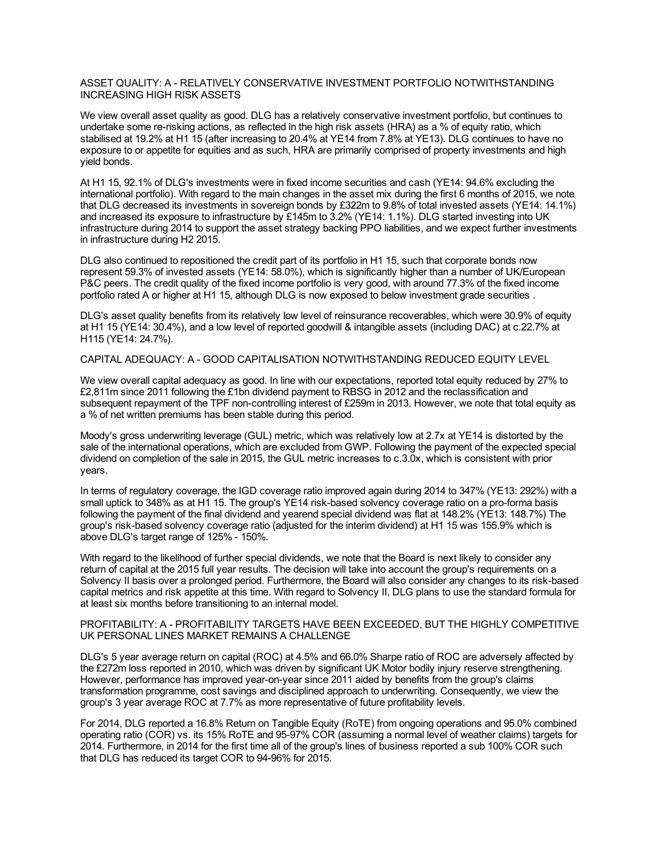#### ASSET QUALITY: A - RELATIVELY CONSERVATIVE INVESTMENT PORTFOLIO NOTWITHSTANDING INCREASING HIGH RISK ASSETS

We view overall asset quality as good. DLG has a relatively conservative investment portfolio, but continues to undertake some re-risking actions, as reflected in the high risk assets (HRA) as a % of equity ratio, which stabilised at 19.2% at H1 15 (after increasing to 20.4% at YE14 from 7.8% at YE13). DLG continues to have no exposure to or appetite for equities and as such, HRA are primarily comprised of property investments and high yield bonds.

At H1 15, 92.1% of DLG's investments were in fixed income securities and cash (YE14: 94.6% excluding the international portfolio). With regard to the main changes in the asset mix during the first 6 months of 2015, we note that DLG decreased its investments in sovereign bonds by £322m to 9.8% of total invested assets (YE14: 14.1%) and increased its exposure to infrastructure by £145m to 3.2% (YE14: 1.1%). DLG started investing into UK infrastructure during 2014 to support the asset strategy backing PPO liabilities, and we expect further investments in infrastructure during H2 2015.

DLG also continued to repositioned the credit part of its portfolio in H1 15, such that corporate bonds now represent 59.3% of invested assets (YE14: 58.0%), which is significantly higher than a number of UK/European P&C peers. The credit quality of the fixed income portfolio is very good, with around 77.3% of the fixed income portfolio rated A or higher at H1 15, although DLG is now exposed to below investment grade securities .

DLG's asset quality benefits from its relatively low level of reinsurance recoverables, which were 30.9% of equity at H1 15 (YE14: 30.4%), and a low level of reported goodwill & intangible assets (including DAC) at c.22.7% at H115 (YE14: 24.7%).

CAPITAL ADEQUACY: A - GOOD CAPITALISATION NOTWITHSTANDING REDUCED EQUITY LEVEL

We view overall capital adequacy as good. In line with our expectations, reported total equity reduced by 27% to £2,811m since 2011 following the £1bn dividend payment to RBSG in 2012 and the reclassification and subsequent repayment of the TPF non-controlling interest of £259m in 2013. However, we note that total equity as a % of net written premiums has been stable during this period.

Moody's gross underwriting leverage (GUL) metric, which was relatively low at 2.7x at YE14 is distorted by the sale of the international operations, which are excluded from GWP. Following the payment of the expected special dividend on completion of the sale in 2015, the GUL metric increases to c.3.0x, which is consistent with prior years.

In terms of regulatory coverage, the IGD coverage ratio improved again during 2014 to 347% (YE13: 292%) with a small uptick to 348% as at H1 15. The group's YE14 risk-based solvency coverage ratio on a pro-forma basis following the payment of the final dividend and yearend special dividend was flat at 148.2% (YE13: 148.7%) The group's risk-based solvency coverage ratio (adjusted for the interim dividend) at H1 15 was 155.9% which is above DLG's target range of 125% - 150%.

With regard to the likelihood of further special dividends, we note that the Board is next likely to consider any return of capital at the 2015 full year results. The decision will take into account the group's requirements on a Solvency II basis over a prolonged period. Furthermore, the Board will also consider any changes to its risk-based capital metrics and risk appetite at this time. With regard to Solvency II, DLG plans to use the standard formula for at least six months before transitioning to an internal model.

PROFITABILITY: A - PROFITABILITY TARGETS HAVE BEEN EXCEEDED, BUT THE HIGHLY COMPETITIVE UK PERSONAL LINES MARKET REMAINS A CHALLENGE

DLG's 5 year average return on capital (ROC) at 4.5% and 66.0% Sharpe ratio of ROC are adversely affected by the £272m loss reported in 2010, which was driven by significant UK Motor bodily injury reserve strengthening. However, performance has improved year-on-year since 2011 aided by benefits from the group's claims transformation programme, cost savings and disciplined approach to underwriting. Consequently, we view the group's 3 year average ROC at 7.7% as more representative of future profitability levels.

For 2014, DLG reported a 16.8% Return on Tangible Equity (RoTE) from ongoing operations and 95.0% combined operating ratio (COR) vs. its 15% RoTE and 95-97% COR (assuming a normal level of weather claims) targets for 2014. Furthermore, in 2014 for the first time all of the group's lines of business reported a sub 100% COR such that DLG has reduced its target COR to 94-96% for 2015.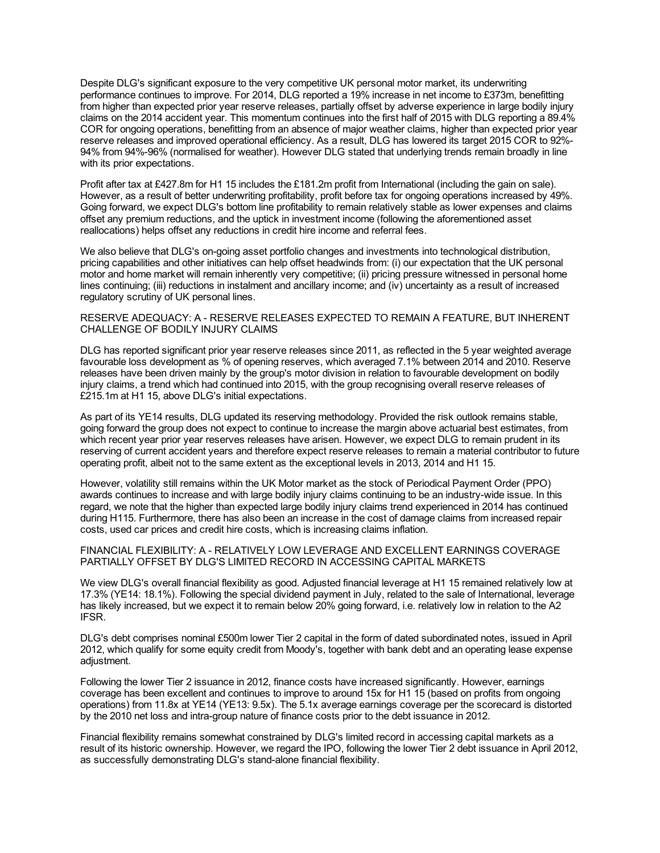Despite DLG's significant exposure to the very competitive UK personal motor market, its underwriting performance continues to improve. For 2014, DLG reported a 19% increase in net income to £373m, benefitting from higher than expected prior year reserve releases, partially offset by adverse experience in large bodily injury claims on the 2014 accident year. This momentum continues into the first half of 2015 with DLG reporting a 89.4% COR for ongoing operations, benefitting from an absence of major weather claims, higher than expected prior year reserve releases and improved operational efficiency. As a result, DLG has lowered its target 2015 COR to 92%- 94% from 94%-96% (normalised for weather). However DLG stated that underlying trends remain broadly in line with its prior expectations.

Profit after tax at £427.8m for H1 15 includes the £181.2m profit from International (including the gain on sale). However, as a result of better underwriting profitability, profit before tax for ongoing operations increased by 49%. Going forward, we expect DLG's bottom line profitability to remain relatively stable as lower expenses and claims offset any premium reductions, and the uptick in investment income (following the aforementioned asset reallocations) helps offset any reductions in credit hire income and referral fees.

We also believe that DLG's on-going asset portfolio changes and investments into technological distribution, pricing capabilities and other initiatives can help offset headwinds from: (i) our expectation that the UK personal motor and home market will remain inherently very competitive; (ii) pricing pressure witnessed in personal home lines continuing; (iii) reductions in instalment and ancillary income; and (iv) uncertainty as a result of increased regulatory scrutiny of UK personal lines.

#### RESERVE ADEQUACY: A - RESERVE RELEASES EXPECTED TO REMAIN A FEATURE, BUT INHERENT CHALLENGE OF BODILY INJURY CLAIMS

DLG has reported significant prior year reserve releases since 2011, as reflected in the 5 year weighted average favourable loss development as % of opening reserves, which averaged 7.1% between 2014 and 2010. Reserve releases have been driven mainly by the group's motor division in relation to favourable development on bodily injury claims, a trend which had continued into 2015, with the group recognising overall reserve releases of £215.1m at H1 15, above DLG's initial expectations.

As part of its YE14 results, DLG updated its reserving methodology. Provided the risk outlook remains stable, going forward the group does not expect to continue to increase the margin above actuarial best estimates, from which recent year prior year reserves releases have arisen. However, we expect DLG to remain prudent in its reserving of current accident years and therefore expect reserve releases to remain a material contributor to future operating profit, albeit not to the same extent as the exceptional levels in 2013, 2014 and H1 15.

However, volatility still remains within the UK Motor market as the stock of Periodical Payment Order (PPO) awards continues to increase and with large bodily injury claims continuing to be an industry-wide issue. In this regard, we note that the higher than expected large bodily injury claims trend experienced in 2014 has continued during H115. Furthermore, there has also been an increase in the cost of damage claims from increased repair costs, used car prices and credit hire costs, which is increasing claims inflation.

#### FINANCIAL FLEXIBILITY: A - RELATIVELY LOW LEVERAGE AND EXCELLENT EARNINGS COVERAGE PARTIALLY OFFSET BY DLG'S LIMITED RECORD IN ACCESSING CAPITAL MARKETS

We view DLG's overall financial flexibility as good. Adjusted financial leverage at H1 15 remained relatively low at 17.3% (YE14: 18.1%). Following the special dividend payment in July, related to the sale of International, leverage has likely increased, but we expect it to remain below 20% going forward, i.e. relatively low in relation to the A2 IFSR.

DLG's debt comprises nominal £500m lower Tier 2 capital in the form of dated subordinated notes, issued in April 2012, which qualify for some equity credit from Moody's, together with bank debt and an operating lease expense adjustment.

Following the lower Tier 2 issuance in 2012, finance costs have increased significantly. However, earnings coverage has been excellent and continues to improve to around 15x for H1 15 (based on profits from ongoing operations) from 11.8x at YE14 (YE13: 9.5x). The 5.1x average earnings coverage per the scorecard is distorted by the 2010 net loss and intra-group nature of finance costs prior to the debt issuance in 2012.

Financial flexibility remains somewhat constrained by DLG's limited record in accessing capital markets as a result of its historic ownership. However, we regard the IPO, following the lower Tier 2 debt issuance in April 2012, as successfully demonstrating DLG's stand-alone financial flexibility.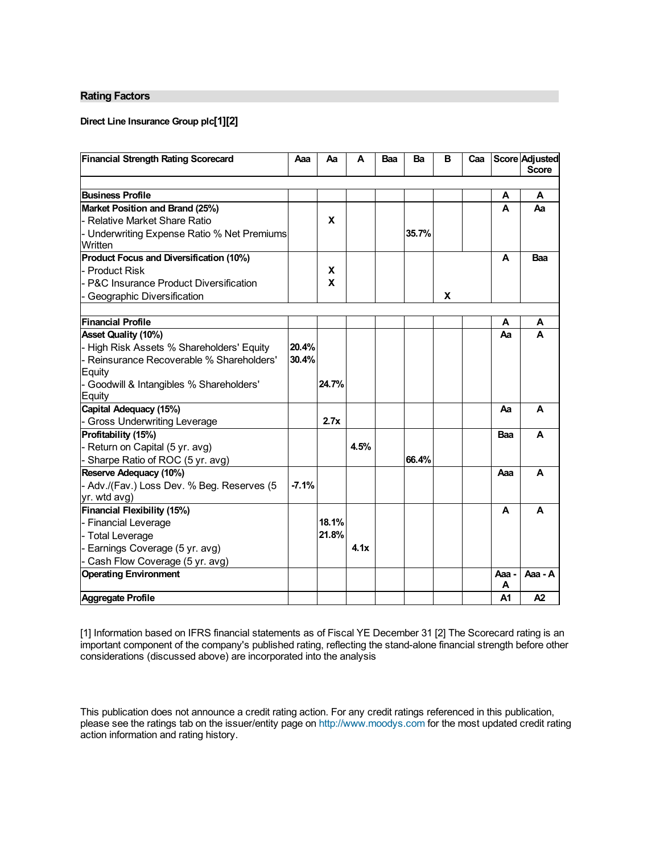## **Rating Factors**

## **Direct Line Insurance Group plc[1][2]**

| <b>Financial Strength Rating Scorecard</b>                                                                                                                                           | Aaa            | Аа             | A    | Baa | Ba    | в | Caa |            | Score Adjusted<br><b>Score</b> |
|--------------------------------------------------------------------------------------------------------------------------------------------------------------------------------------|----------------|----------------|------|-----|-------|---|-----|------------|--------------------------------|
| <b>Business Profile</b>                                                                                                                                                              |                |                |      |     |       |   |     | А          | A                              |
| Market Position and Brand (25%)<br>- Relative Market Share Ratio<br>- Underwriting Expense Ratio % Net Premiums<br>Written                                                           |                | X              |      |     | 35.7% |   |     | A          | Αа                             |
| Product Focus and Diversification (10%)<br>- Product Risk<br>- P&C Insurance Product Diversification<br>- Geographic Diversification                                                 |                | X<br>X         |      |     |       | X |     | A          | Baa                            |
| <b>Financial Profile</b>                                                                                                                                                             |                |                |      |     |       |   |     | A          | A                              |
| <b>Asset Quality (10%)</b><br>- High Risk Assets % Shareholders' Equity<br>- Reinsurance Recoverable % Shareholders'<br>Equity<br>- Goodwill & Intangibles % Shareholders'<br>Equity | 20.4%<br>30.4% | 24.7%          |      |     |       |   |     | Aа         | A                              |
| Capital Adequacy (15%)                                                                                                                                                               |                |                |      |     |       |   |     | Aa         | A                              |
| - Gross Underwriting Leverage                                                                                                                                                        |                | 2.7x           |      |     |       |   |     |            |                                |
| Profitability (15%)<br>- Return on Capital (5 yr. avg)<br>Sharpe Ratio of ROC (5 yr. avg)                                                                                            |                |                | 4.5% |     | 66.4% |   |     | Baa        | A                              |
| Reserve Adequacy (10%)<br>- Adv./(Fav.) Loss Dev. % Beg. Reserves (5<br>yr. wtd avg)                                                                                                 | $-7.1%$        |                |      |     |       |   |     | Ааа        | A                              |
| <b>Financial Flexibility (15%)</b><br>- Financial Leverage<br>- Total Leverage<br>- Earnings Coverage (5 yr. avg)<br>- Cash Flow Coverage (5 yr. avg)                                |                | 18.1%<br>21.8% | 4.1x |     |       |   |     | A          | A                              |
| <b>Operating Environment</b>                                                                                                                                                         |                |                |      |     |       |   |     | Aaa -<br>Α | Aaa - A                        |
| <b>Aggregate Profile</b>                                                                                                                                                             |                |                |      |     |       |   |     | <b>A1</b>  | A2                             |

[1] Information based on IFRS financial statements as of Fiscal YE December 31 [2] The Scorecard rating is an important component of the company's published rating, reflecting the stand-alone financial strength before other considerations (discussed above) are incorporated into the analysis

This publication does not announce a credit rating action. For any credit ratings referenced in this publication, please see the ratings tab on the issuer/entity page on [http://www.moodys.com](http://www.moodys.com/) for the most updated credit rating action information and rating history.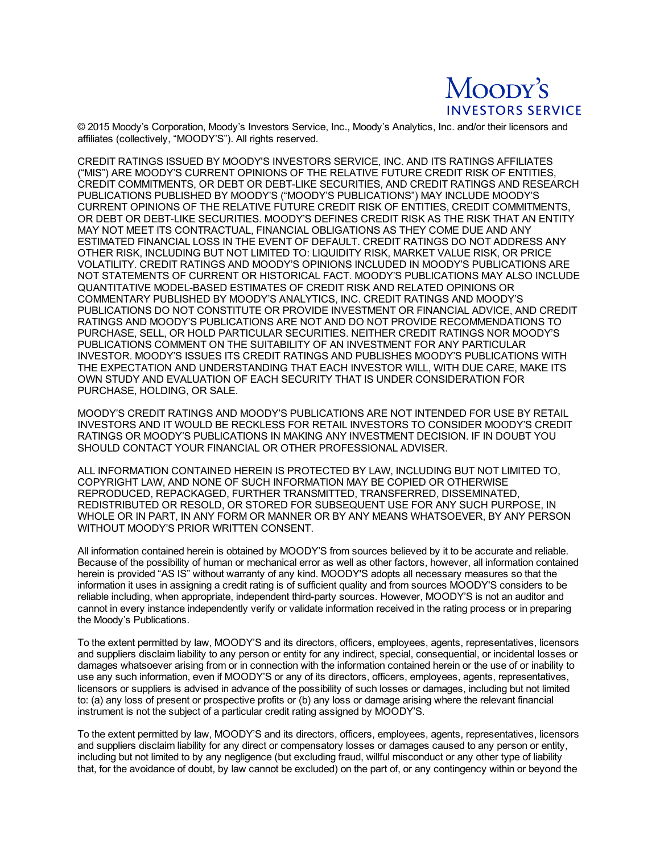## Moopy's **INVESTORS SERVICE**

© 2015 Moody's Corporation, Moody's Investors Service, Inc., Moody's Analytics, Inc. and/or their licensors and affiliates (collectively, "MOODY'S"). All rights reserved.

CREDIT RATINGS ISSUED BY MOODY'S INVESTORS SERVICE, INC. AND ITS RATINGS AFFILIATES ("MIS") ARE MOODY'S CURRENT OPINIONS OF THE RELATIVE FUTURE CREDIT RISK OF ENTITIES, CREDIT COMMITMENTS, OR DEBT OR DEBT-LIKE SECURITIES, AND CREDIT RATINGS AND RESEARCH PUBLICATIONS PUBLISHED BY MOODY'S ("MOODY'S PUBLICATIONS") MAY INCLUDE MOODY'S CURRENT OPINIONS OF THE RELATIVE FUTURE CREDIT RISK OF ENTITIES, CREDIT COMMITMENTS, OR DEBT OR DEBT-LIKE SECURITIES. MOODY'S DEFINES CREDIT RISK AS THE RISK THAT AN ENTITY MAY NOT MEET ITS CONTRACTUAL, FINANCIAL OBLIGATIONS AS THEY COME DUE AND ANY ESTIMATED FINANCIAL LOSS IN THE EVENT OF DEFAULT. CREDIT RATINGS DO NOT ADDRESS ANY OTHER RISK, INCLUDING BUT NOT LIMITED TO: LIQUIDITY RISK, MARKET VALUE RISK, OR PRICE VOLATILITY. CREDIT RATINGS AND MOODY'S OPINIONS INCLUDED IN MOODY'S PUBLICATIONS ARE NOT STATEMENTS OF CURRENT OR HISTORICAL FACT. MOODY'S PUBLICATIONS MAY ALSO INCLUDE QUANTITATIVE MODEL-BASED ESTIMATES OF CREDIT RISK AND RELATED OPINIONS OR COMMENTARY PUBLISHED BY MOODY'S ANALYTICS, INC. CREDIT RATINGS AND MOODY'S PUBLICATIONS DO NOT CONSTITUTE OR PROVIDE INVESTMENT OR FINANCIAL ADVICE, AND CREDIT RATINGS AND MOODY'S PUBLICATIONS ARE NOT AND DO NOT PROVIDE RECOMMENDATIONS TO PURCHASE, SELL, OR HOLD PARTICULAR SECURITIES. NEITHER CREDIT RATINGS NOR MOODY'S PUBLICATIONS COMMENT ON THE SUITABILITY OF AN INVESTMENT FOR ANY PARTICULAR INVESTOR. MOODY'S ISSUES ITS CREDIT RATINGS AND PUBLISHES MOODY'S PUBLICATIONS WITH THE EXPECTATION AND UNDERSTANDING THAT EACH INVESTOR WILL, WITH DUE CARE, MAKE ITS OWN STUDY AND EVALUATION OF EACH SECURITY THAT IS UNDER CONSIDERATION FOR PURCHASE, HOLDING, OR SALE.

MOODY'S CREDIT RATINGS AND MOODY'S PUBLICATIONS ARE NOT INTENDED FOR USE BY RETAIL INVESTORS AND IT WOULD BE RECKLESS FOR RETAIL INVESTORS TO CONSIDER MOODY'S CREDIT RATINGS OR MOODY'S PUBLICATIONS IN MAKING ANY INVESTMENT DECISION. IF IN DOUBT YOU SHOULD CONTACT YOUR FINANCIAL OR OTHER PROFESSIONAL ADVISER.

ALL INFORMATION CONTAINED HEREIN IS PROTECTED BY LAW, INCLUDING BUT NOT LIMITED TO, COPYRIGHT LAW, AND NONE OF SUCH INFORMATION MAY BE COPIED OR OTHERWISE REPRODUCED, REPACKAGED, FURTHER TRANSMITTED, TRANSFERRED, DISSEMINATED, REDISTRIBUTED OR RESOLD, OR STORED FOR SUBSEQUENT USE FOR ANY SUCH PURPOSE, IN WHOLE OR IN PART, IN ANY FORM OR MANNER OR BY ANY MEANS WHATSOEVER, BY ANY PERSON WITHOUT MOODY'S PRIOR WRITTEN CONSENT.

All information contained herein is obtained by MOODY'S from sources believed by it to be accurate and reliable. Because of the possibility of human or mechanical error as well as other factors, however, all information contained herein is provided "AS IS" without warranty of any kind. MOODY'S adopts all necessary measures so that the information it uses in assigning a credit rating is of sufficient quality and from sources MOODY'S considers to be reliable including, when appropriate, independent third-party sources. However, MOODY'S is not an auditor and cannot in every instance independently verify or validate information received in the rating process or in preparing the Moody's Publications.

To the extent permitted by law, MOODY'S and its directors, officers, employees, agents, representatives, licensors and suppliers disclaim liability to any person or entity for any indirect, special, consequential, or incidental losses or damages whatsoever arising from or in connection with the information contained herein or the use of or inability to use any such information, even if MOODY'S or any of its directors, officers, employees, agents, representatives, licensors or suppliers is advised in advance of the possibility of such losses or damages, including but not limited to: (a) any loss of present or prospective profits or (b) any loss or damage arising where the relevant financial instrument is not the subject of a particular credit rating assigned by MOODY'S.

To the extent permitted by law, MOODY'S and its directors, officers, employees, agents, representatives, licensors and suppliers disclaim liability for any direct or compensatory losses or damages caused to any person or entity, including but not limited to by any negligence (but excluding fraud, willful misconduct or any other type of liability that, for the avoidance of doubt, by law cannot be excluded) on the part of, or any contingency within or beyond the